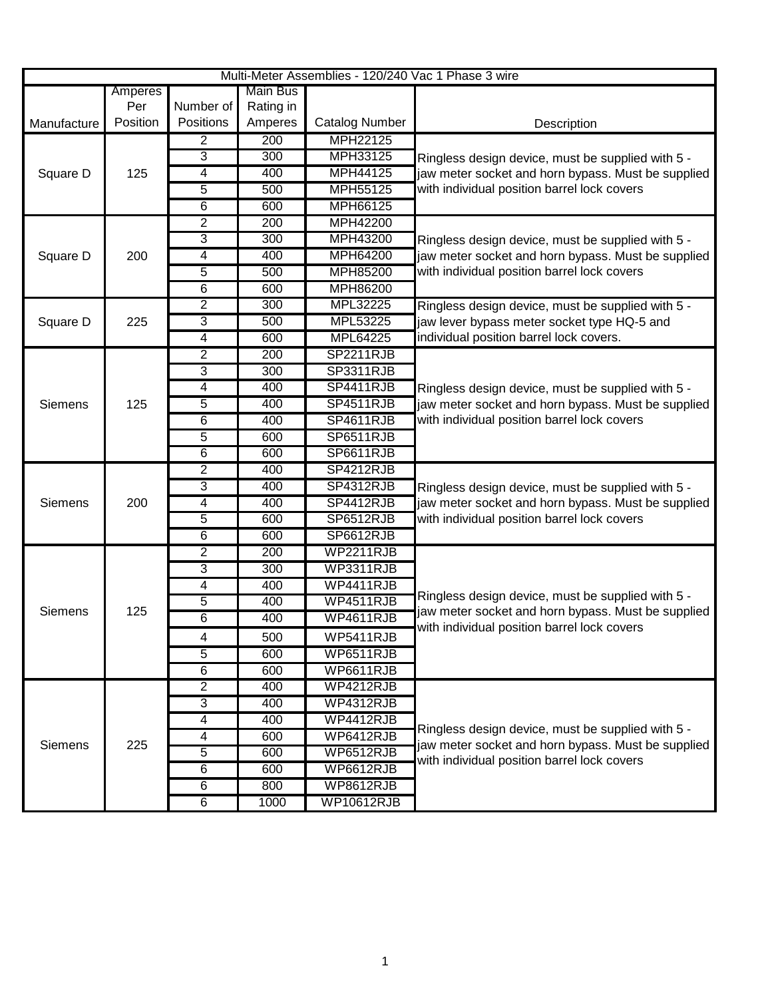| Amperes<br>Per<br>Number of<br>Rating in<br>Position<br>Positions<br>Amperes<br><b>Catalog Number</b><br>Manufacture<br>Description<br>MPH22125<br>$\overline{200}$<br>2<br>3<br>300<br>MPH33125<br>Ringless design device, must be supplied with 5 -<br>4<br>400<br>MPH44125<br>jaw meter socket and horn bypass. Must be supplied<br>Square D<br>125<br>with individual position barrel lock covers<br>5<br>MPH55125<br>500<br>6<br>600<br>MPH66125<br>2<br>200<br>MPH42200<br>3<br>300<br>MPH43200<br>Ringless design device, must be supplied with 5 -<br>4<br>400<br><b>MPH64200</b><br>200<br>jaw meter socket and horn bypass. Must be supplied<br>Square D<br>with individual position barrel lock covers<br>5<br><b>MPH85200</b><br>500<br>6<br>MPH86200<br>600<br>$\overline{2}$<br>300<br>MPL32225<br>Ringless design device, must be supplied with 5 -<br>3<br>MPL53225<br>500<br>jaw lever bypass meter socket type HQ-5 and<br>Square D<br>225<br>individual position barrel lock covers.<br>$\overline{4}$<br>MPL64225<br>600<br>$\overline{2}$<br>200<br><b>SP2211RJB</b><br>3<br>300<br><b>SP3311RJB</b><br>$\overline{4}$<br>400<br><b>SP4411RJB</b><br>Ringless design device, must be supplied with 5 -<br>5<br><b>SP4511RJB</b><br>400<br>jaw meter socket and horn bypass. Must be supplied<br>125<br><b>Siemens</b><br>$\overline{6}$<br>with individual position barrel lock covers<br>400<br><b>SP4611RJB</b><br>5<br>600<br>SP6511RJB<br>6<br><b>SP6611RJB</b><br>600<br>$\overline{2}$<br>400<br>SP4212RJB<br>3<br>400<br><b>SP4312RJB</b><br>Ringless design device, must be supplied with 5 -<br>400<br>SP4412RJB<br>jaw meter socket and horn bypass. Must be supplied<br>200<br>4<br><b>Siemens</b><br>$\overline{5}$<br>with individual position barrel lock covers<br>600<br>SP6512RJB<br>$\overline{6}$<br>600<br>SP6612RJB<br>$\overline{2}$<br><b>WP2211RJB</b><br>200<br>3<br>300<br>WP3311RJB<br>4<br>400<br>WP4411RJB<br>Ringless design device, must be supplied with 5 -<br>5<br>400<br><b>WP4511RJB</b><br>jaw meter socket and horn bypass. Must be supplied<br><b>Siemens</b><br>125<br>6<br>WP4611RJB<br>400<br>with individual position barrel lock covers<br>4<br>500<br>WP5411RJB<br>$\overline{5}$<br>600<br>WP6511RJB<br>$\overline{6}$<br>600<br>WP6611RJB<br>$\overline{2}$<br><b>WP4212RJB</b><br>400<br>$\overline{3}$<br>400<br><b>WP4312RJB</b><br>$\overline{4}$<br>WP4412RJB<br>400<br>Ringless design device, must be supplied with 5 -<br>WP6412RJB<br>$\overline{4}$<br>600<br>225<br>jaw meter socket and horn bypass. Must be supplied<br>Siemens<br>$\overline{5}$<br>600<br>WP6512RJB<br>with individual position barrel lock covers<br>6<br>WP6612RJB<br>600<br>6<br>800<br><b>WP8612RJB</b><br>6<br><b>WP10612RJB</b><br>1000 |  |  |                 | Multi-Meter Assemblies - 120/240 Vac 1 Phase 3 wire |  |
|--------------------------------------------------------------------------------------------------------------------------------------------------------------------------------------------------------------------------------------------------------------------------------------------------------------------------------------------------------------------------------------------------------------------------------------------------------------------------------------------------------------------------------------------------------------------------------------------------------------------------------------------------------------------------------------------------------------------------------------------------------------------------------------------------------------------------------------------------------------------------------------------------------------------------------------------------------------------------------------------------------------------------------------------------------------------------------------------------------------------------------------------------------------------------------------------------------------------------------------------------------------------------------------------------------------------------------------------------------------------------------------------------------------------------------------------------------------------------------------------------------------------------------------------------------------------------------------------------------------------------------------------------------------------------------------------------------------------------------------------------------------------------------------------------------------------------------------------------------------------------------------------------------------------------------------------------------------------------------------------------------------------------------------------------------------------------------------------------------------------------------------------------------------------------------------------------------------------------------------------------------------------------------------------------------------------------------------------------------------------------------------------------------------------------------------------------------------------------------------------------------------------------------------------------------------------------------------------------------------------------------------------------------------------------------------------------------------------------------------------------------------------------------------------------|--|--|-----------------|-----------------------------------------------------|--|
|                                                                                                                                                                                                                                                                                                                                                                                                                                                                                                                                                                                                                                                                                                                                                                                                                                                                                                                                                                                                                                                                                                                                                                                                                                                                                                                                                                                                                                                                                                                                                                                                                                                                                                                                                                                                                                                                                                                                                                                                                                                                                                                                                                                                                                                                                                                                                                                                                                                                                                                                                                                                                                                                                                                                                                                                  |  |  | <b>Main Bus</b> |                                                     |  |
|                                                                                                                                                                                                                                                                                                                                                                                                                                                                                                                                                                                                                                                                                                                                                                                                                                                                                                                                                                                                                                                                                                                                                                                                                                                                                                                                                                                                                                                                                                                                                                                                                                                                                                                                                                                                                                                                                                                                                                                                                                                                                                                                                                                                                                                                                                                                                                                                                                                                                                                                                                                                                                                                                                                                                                                                  |  |  |                 |                                                     |  |
|                                                                                                                                                                                                                                                                                                                                                                                                                                                                                                                                                                                                                                                                                                                                                                                                                                                                                                                                                                                                                                                                                                                                                                                                                                                                                                                                                                                                                                                                                                                                                                                                                                                                                                                                                                                                                                                                                                                                                                                                                                                                                                                                                                                                                                                                                                                                                                                                                                                                                                                                                                                                                                                                                                                                                                                                  |  |  |                 |                                                     |  |
|                                                                                                                                                                                                                                                                                                                                                                                                                                                                                                                                                                                                                                                                                                                                                                                                                                                                                                                                                                                                                                                                                                                                                                                                                                                                                                                                                                                                                                                                                                                                                                                                                                                                                                                                                                                                                                                                                                                                                                                                                                                                                                                                                                                                                                                                                                                                                                                                                                                                                                                                                                                                                                                                                                                                                                                                  |  |  |                 |                                                     |  |
|                                                                                                                                                                                                                                                                                                                                                                                                                                                                                                                                                                                                                                                                                                                                                                                                                                                                                                                                                                                                                                                                                                                                                                                                                                                                                                                                                                                                                                                                                                                                                                                                                                                                                                                                                                                                                                                                                                                                                                                                                                                                                                                                                                                                                                                                                                                                                                                                                                                                                                                                                                                                                                                                                                                                                                                                  |  |  |                 |                                                     |  |
|                                                                                                                                                                                                                                                                                                                                                                                                                                                                                                                                                                                                                                                                                                                                                                                                                                                                                                                                                                                                                                                                                                                                                                                                                                                                                                                                                                                                                                                                                                                                                                                                                                                                                                                                                                                                                                                                                                                                                                                                                                                                                                                                                                                                                                                                                                                                                                                                                                                                                                                                                                                                                                                                                                                                                                                                  |  |  |                 |                                                     |  |
|                                                                                                                                                                                                                                                                                                                                                                                                                                                                                                                                                                                                                                                                                                                                                                                                                                                                                                                                                                                                                                                                                                                                                                                                                                                                                                                                                                                                                                                                                                                                                                                                                                                                                                                                                                                                                                                                                                                                                                                                                                                                                                                                                                                                                                                                                                                                                                                                                                                                                                                                                                                                                                                                                                                                                                                                  |  |  |                 |                                                     |  |
|                                                                                                                                                                                                                                                                                                                                                                                                                                                                                                                                                                                                                                                                                                                                                                                                                                                                                                                                                                                                                                                                                                                                                                                                                                                                                                                                                                                                                                                                                                                                                                                                                                                                                                                                                                                                                                                                                                                                                                                                                                                                                                                                                                                                                                                                                                                                                                                                                                                                                                                                                                                                                                                                                                                                                                                                  |  |  |                 |                                                     |  |
|                                                                                                                                                                                                                                                                                                                                                                                                                                                                                                                                                                                                                                                                                                                                                                                                                                                                                                                                                                                                                                                                                                                                                                                                                                                                                                                                                                                                                                                                                                                                                                                                                                                                                                                                                                                                                                                                                                                                                                                                                                                                                                                                                                                                                                                                                                                                                                                                                                                                                                                                                                                                                                                                                                                                                                                                  |  |  |                 |                                                     |  |
|                                                                                                                                                                                                                                                                                                                                                                                                                                                                                                                                                                                                                                                                                                                                                                                                                                                                                                                                                                                                                                                                                                                                                                                                                                                                                                                                                                                                                                                                                                                                                                                                                                                                                                                                                                                                                                                                                                                                                                                                                                                                                                                                                                                                                                                                                                                                                                                                                                                                                                                                                                                                                                                                                                                                                                                                  |  |  |                 |                                                     |  |
|                                                                                                                                                                                                                                                                                                                                                                                                                                                                                                                                                                                                                                                                                                                                                                                                                                                                                                                                                                                                                                                                                                                                                                                                                                                                                                                                                                                                                                                                                                                                                                                                                                                                                                                                                                                                                                                                                                                                                                                                                                                                                                                                                                                                                                                                                                                                                                                                                                                                                                                                                                                                                                                                                                                                                                                                  |  |  |                 |                                                     |  |
|                                                                                                                                                                                                                                                                                                                                                                                                                                                                                                                                                                                                                                                                                                                                                                                                                                                                                                                                                                                                                                                                                                                                                                                                                                                                                                                                                                                                                                                                                                                                                                                                                                                                                                                                                                                                                                                                                                                                                                                                                                                                                                                                                                                                                                                                                                                                                                                                                                                                                                                                                                                                                                                                                                                                                                                                  |  |  |                 |                                                     |  |
|                                                                                                                                                                                                                                                                                                                                                                                                                                                                                                                                                                                                                                                                                                                                                                                                                                                                                                                                                                                                                                                                                                                                                                                                                                                                                                                                                                                                                                                                                                                                                                                                                                                                                                                                                                                                                                                                                                                                                                                                                                                                                                                                                                                                                                                                                                                                                                                                                                                                                                                                                                                                                                                                                                                                                                                                  |  |  |                 |                                                     |  |
|                                                                                                                                                                                                                                                                                                                                                                                                                                                                                                                                                                                                                                                                                                                                                                                                                                                                                                                                                                                                                                                                                                                                                                                                                                                                                                                                                                                                                                                                                                                                                                                                                                                                                                                                                                                                                                                                                                                                                                                                                                                                                                                                                                                                                                                                                                                                                                                                                                                                                                                                                                                                                                                                                                                                                                                                  |  |  |                 |                                                     |  |
|                                                                                                                                                                                                                                                                                                                                                                                                                                                                                                                                                                                                                                                                                                                                                                                                                                                                                                                                                                                                                                                                                                                                                                                                                                                                                                                                                                                                                                                                                                                                                                                                                                                                                                                                                                                                                                                                                                                                                                                                                                                                                                                                                                                                                                                                                                                                                                                                                                                                                                                                                                                                                                                                                                                                                                                                  |  |  |                 |                                                     |  |
|                                                                                                                                                                                                                                                                                                                                                                                                                                                                                                                                                                                                                                                                                                                                                                                                                                                                                                                                                                                                                                                                                                                                                                                                                                                                                                                                                                                                                                                                                                                                                                                                                                                                                                                                                                                                                                                                                                                                                                                                                                                                                                                                                                                                                                                                                                                                                                                                                                                                                                                                                                                                                                                                                                                                                                                                  |  |  |                 |                                                     |  |
|                                                                                                                                                                                                                                                                                                                                                                                                                                                                                                                                                                                                                                                                                                                                                                                                                                                                                                                                                                                                                                                                                                                                                                                                                                                                                                                                                                                                                                                                                                                                                                                                                                                                                                                                                                                                                                                                                                                                                                                                                                                                                                                                                                                                                                                                                                                                                                                                                                                                                                                                                                                                                                                                                                                                                                                                  |  |  |                 |                                                     |  |
|                                                                                                                                                                                                                                                                                                                                                                                                                                                                                                                                                                                                                                                                                                                                                                                                                                                                                                                                                                                                                                                                                                                                                                                                                                                                                                                                                                                                                                                                                                                                                                                                                                                                                                                                                                                                                                                                                                                                                                                                                                                                                                                                                                                                                                                                                                                                                                                                                                                                                                                                                                                                                                                                                                                                                                                                  |  |  |                 |                                                     |  |
|                                                                                                                                                                                                                                                                                                                                                                                                                                                                                                                                                                                                                                                                                                                                                                                                                                                                                                                                                                                                                                                                                                                                                                                                                                                                                                                                                                                                                                                                                                                                                                                                                                                                                                                                                                                                                                                                                                                                                                                                                                                                                                                                                                                                                                                                                                                                                                                                                                                                                                                                                                                                                                                                                                                                                                                                  |  |  |                 |                                                     |  |
|                                                                                                                                                                                                                                                                                                                                                                                                                                                                                                                                                                                                                                                                                                                                                                                                                                                                                                                                                                                                                                                                                                                                                                                                                                                                                                                                                                                                                                                                                                                                                                                                                                                                                                                                                                                                                                                                                                                                                                                                                                                                                                                                                                                                                                                                                                                                                                                                                                                                                                                                                                                                                                                                                                                                                                                                  |  |  |                 |                                                     |  |
|                                                                                                                                                                                                                                                                                                                                                                                                                                                                                                                                                                                                                                                                                                                                                                                                                                                                                                                                                                                                                                                                                                                                                                                                                                                                                                                                                                                                                                                                                                                                                                                                                                                                                                                                                                                                                                                                                                                                                                                                                                                                                                                                                                                                                                                                                                                                                                                                                                                                                                                                                                                                                                                                                                                                                                                                  |  |  |                 |                                                     |  |
|                                                                                                                                                                                                                                                                                                                                                                                                                                                                                                                                                                                                                                                                                                                                                                                                                                                                                                                                                                                                                                                                                                                                                                                                                                                                                                                                                                                                                                                                                                                                                                                                                                                                                                                                                                                                                                                                                                                                                                                                                                                                                                                                                                                                                                                                                                                                                                                                                                                                                                                                                                                                                                                                                                                                                                                                  |  |  |                 |                                                     |  |
|                                                                                                                                                                                                                                                                                                                                                                                                                                                                                                                                                                                                                                                                                                                                                                                                                                                                                                                                                                                                                                                                                                                                                                                                                                                                                                                                                                                                                                                                                                                                                                                                                                                                                                                                                                                                                                                                                                                                                                                                                                                                                                                                                                                                                                                                                                                                                                                                                                                                                                                                                                                                                                                                                                                                                                                                  |  |  |                 |                                                     |  |
|                                                                                                                                                                                                                                                                                                                                                                                                                                                                                                                                                                                                                                                                                                                                                                                                                                                                                                                                                                                                                                                                                                                                                                                                                                                                                                                                                                                                                                                                                                                                                                                                                                                                                                                                                                                                                                                                                                                                                                                                                                                                                                                                                                                                                                                                                                                                                                                                                                                                                                                                                                                                                                                                                                                                                                                                  |  |  |                 |                                                     |  |
|                                                                                                                                                                                                                                                                                                                                                                                                                                                                                                                                                                                                                                                                                                                                                                                                                                                                                                                                                                                                                                                                                                                                                                                                                                                                                                                                                                                                                                                                                                                                                                                                                                                                                                                                                                                                                                                                                                                                                                                                                                                                                                                                                                                                                                                                                                                                                                                                                                                                                                                                                                                                                                                                                                                                                                                                  |  |  |                 |                                                     |  |
|                                                                                                                                                                                                                                                                                                                                                                                                                                                                                                                                                                                                                                                                                                                                                                                                                                                                                                                                                                                                                                                                                                                                                                                                                                                                                                                                                                                                                                                                                                                                                                                                                                                                                                                                                                                                                                                                                                                                                                                                                                                                                                                                                                                                                                                                                                                                                                                                                                                                                                                                                                                                                                                                                                                                                                                                  |  |  |                 |                                                     |  |
|                                                                                                                                                                                                                                                                                                                                                                                                                                                                                                                                                                                                                                                                                                                                                                                                                                                                                                                                                                                                                                                                                                                                                                                                                                                                                                                                                                                                                                                                                                                                                                                                                                                                                                                                                                                                                                                                                                                                                                                                                                                                                                                                                                                                                                                                                                                                                                                                                                                                                                                                                                                                                                                                                                                                                                                                  |  |  |                 |                                                     |  |
|                                                                                                                                                                                                                                                                                                                                                                                                                                                                                                                                                                                                                                                                                                                                                                                                                                                                                                                                                                                                                                                                                                                                                                                                                                                                                                                                                                                                                                                                                                                                                                                                                                                                                                                                                                                                                                                                                                                                                                                                                                                                                                                                                                                                                                                                                                                                                                                                                                                                                                                                                                                                                                                                                                                                                                                                  |  |  |                 |                                                     |  |
|                                                                                                                                                                                                                                                                                                                                                                                                                                                                                                                                                                                                                                                                                                                                                                                                                                                                                                                                                                                                                                                                                                                                                                                                                                                                                                                                                                                                                                                                                                                                                                                                                                                                                                                                                                                                                                                                                                                                                                                                                                                                                                                                                                                                                                                                                                                                                                                                                                                                                                                                                                                                                                                                                                                                                                                                  |  |  |                 |                                                     |  |
|                                                                                                                                                                                                                                                                                                                                                                                                                                                                                                                                                                                                                                                                                                                                                                                                                                                                                                                                                                                                                                                                                                                                                                                                                                                                                                                                                                                                                                                                                                                                                                                                                                                                                                                                                                                                                                                                                                                                                                                                                                                                                                                                                                                                                                                                                                                                                                                                                                                                                                                                                                                                                                                                                                                                                                                                  |  |  |                 |                                                     |  |
|                                                                                                                                                                                                                                                                                                                                                                                                                                                                                                                                                                                                                                                                                                                                                                                                                                                                                                                                                                                                                                                                                                                                                                                                                                                                                                                                                                                                                                                                                                                                                                                                                                                                                                                                                                                                                                                                                                                                                                                                                                                                                                                                                                                                                                                                                                                                                                                                                                                                                                                                                                                                                                                                                                                                                                                                  |  |  |                 |                                                     |  |
|                                                                                                                                                                                                                                                                                                                                                                                                                                                                                                                                                                                                                                                                                                                                                                                                                                                                                                                                                                                                                                                                                                                                                                                                                                                                                                                                                                                                                                                                                                                                                                                                                                                                                                                                                                                                                                                                                                                                                                                                                                                                                                                                                                                                                                                                                                                                                                                                                                                                                                                                                                                                                                                                                                                                                                                                  |  |  |                 |                                                     |  |
|                                                                                                                                                                                                                                                                                                                                                                                                                                                                                                                                                                                                                                                                                                                                                                                                                                                                                                                                                                                                                                                                                                                                                                                                                                                                                                                                                                                                                                                                                                                                                                                                                                                                                                                                                                                                                                                                                                                                                                                                                                                                                                                                                                                                                                                                                                                                                                                                                                                                                                                                                                                                                                                                                                                                                                                                  |  |  |                 |                                                     |  |
|                                                                                                                                                                                                                                                                                                                                                                                                                                                                                                                                                                                                                                                                                                                                                                                                                                                                                                                                                                                                                                                                                                                                                                                                                                                                                                                                                                                                                                                                                                                                                                                                                                                                                                                                                                                                                                                                                                                                                                                                                                                                                                                                                                                                                                                                                                                                                                                                                                                                                                                                                                                                                                                                                                                                                                                                  |  |  |                 |                                                     |  |
|                                                                                                                                                                                                                                                                                                                                                                                                                                                                                                                                                                                                                                                                                                                                                                                                                                                                                                                                                                                                                                                                                                                                                                                                                                                                                                                                                                                                                                                                                                                                                                                                                                                                                                                                                                                                                                                                                                                                                                                                                                                                                                                                                                                                                                                                                                                                                                                                                                                                                                                                                                                                                                                                                                                                                                                                  |  |  |                 |                                                     |  |
|                                                                                                                                                                                                                                                                                                                                                                                                                                                                                                                                                                                                                                                                                                                                                                                                                                                                                                                                                                                                                                                                                                                                                                                                                                                                                                                                                                                                                                                                                                                                                                                                                                                                                                                                                                                                                                                                                                                                                                                                                                                                                                                                                                                                                                                                                                                                                                                                                                                                                                                                                                                                                                                                                                                                                                                                  |  |  |                 |                                                     |  |
|                                                                                                                                                                                                                                                                                                                                                                                                                                                                                                                                                                                                                                                                                                                                                                                                                                                                                                                                                                                                                                                                                                                                                                                                                                                                                                                                                                                                                                                                                                                                                                                                                                                                                                                                                                                                                                                                                                                                                                                                                                                                                                                                                                                                                                                                                                                                                                                                                                                                                                                                                                                                                                                                                                                                                                                                  |  |  |                 |                                                     |  |
|                                                                                                                                                                                                                                                                                                                                                                                                                                                                                                                                                                                                                                                                                                                                                                                                                                                                                                                                                                                                                                                                                                                                                                                                                                                                                                                                                                                                                                                                                                                                                                                                                                                                                                                                                                                                                                                                                                                                                                                                                                                                                                                                                                                                                                                                                                                                                                                                                                                                                                                                                                                                                                                                                                                                                                                                  |  |  |                 |                                                     |  |
|                                                                                                                                                                                                                                                                                                                                                                                                                                                                                                                                                                                                                                                                                                                                                                                                                                                                                                                                                                                                                                                                                                                                                                                                                                                                                                                                                                                                                                                                                                                                                                                                                                                                                                                                                                                                                                                                                                                                                                                                                                                                                                                                                                                                                                                                                                                                                                                                                                                                                                                                                                                                                                                                                                                                                                                                  |  |  |                 |                                                     |  |
|                                                                                                                                                                                                                                                                                                                                                                                                                                                                                                                                                                                                                                                                                                                                                                                                                                                                                                                                                                                                                                                                                                                                                                                                                                                                                                                                                                                                                                                                                                                                                                                                                                                                                                                                                                                                                                                                                                                                                                                                                                                                                                                                                                                                                                                                                                                                                                                                                                                                                                                                                                                                                                                                                                                                                                                                  |  |  |                 |                                                     |  |
|                                                                                                                                                                                                                                                                                                                                                                                                                                                                                                                                                                                                                                                                                                                                                                                                                                                                                                                                                                                                                                                                                                                                                                                                                                                                                                                                                                                                                                                                                                                                                                                                                                                                                                                                                                                                                                                                                                                                                                                                                                                                                                                                                                                                                                                                                                                                                                                                                                                                                                                                                                                                                                                                                                                                                                                                  |  |  |                 |                                                     |  |
|                                                                                                                                                                                                                                                                                                                                                                                                                                                                                                                                                                                                                                                                                                                                                                                                                                                                                                                                                                                                                                                                                                                                                                                                                                                                                                                                                                                                                                                                                                                                                                                                                                                                                                                                                                                                                                                                                                                                                                                                                                                                                                                                                                                                                                                                                                                                                                                                                                                                                                                                                                                                                                                                                                                                                                                                  |  |  |                 |                                                     |  |
|                                                                                                                                                                                                                                                                                                                                                                                                                                                                                                                                                                                                                                                                                                                                                                                                                                                                                                                                                                                                                                                                                                                                                                                                                                                                                                                                                                                                                                                                                                                                                                                                                                                                                                                                                                                                                                                                                                                                                                                                                                                                                                                                                                                                                                                                                                                                                                                                                                                                                                                                                                                                                                                                                                                                                                                                  |  |  |                 |                                                     |  |
|                                                                                                                                                                                                                                                                                                                                                                                                                                                                                                                                                                                                                                                                                                                                                                                                                                                                                                                                                                                                                                                                                                                                                                                                                                                                                                                                                                                                                                                                                                                                                                                                                                                                                                                                                                                                                                                                                                                                                                                                                                                                                                                                                                                                                                                                                                                                                                                                                                                                                                                                                                                                                                                                                                                                                                                                  |  |  |                 |                                                     |  |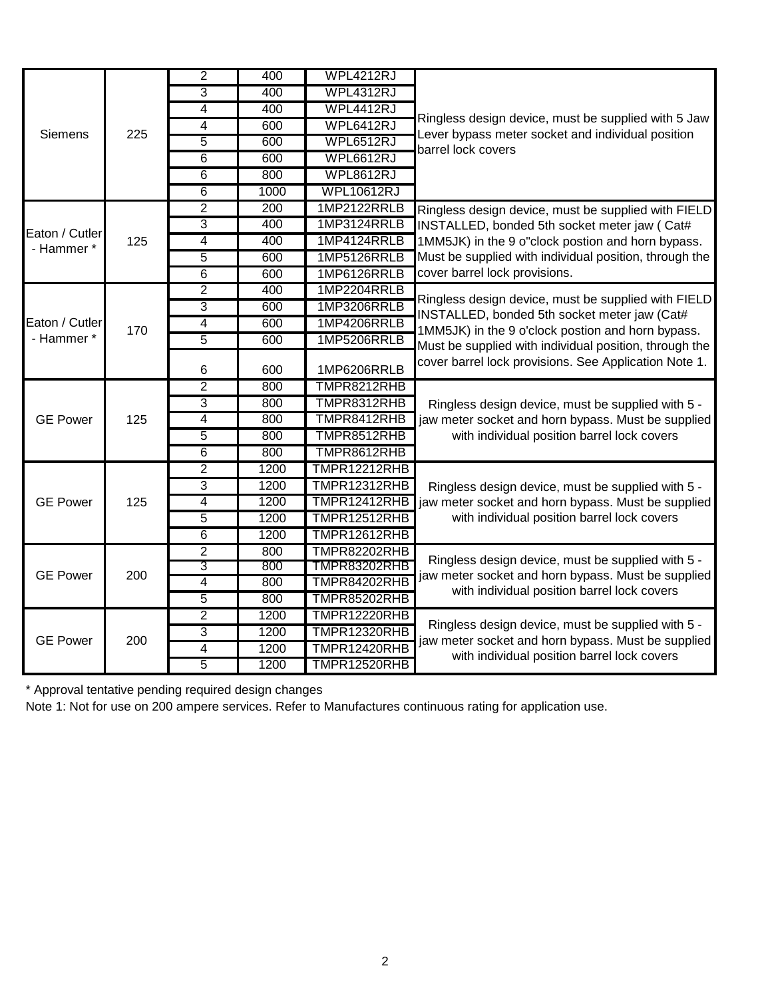| <b>Siemens</b>  | 225 | $\overline{2}$ | 400  | <b>WPL4212RJ</b>    |                                                                                                                                                                                                                                                                             |
|-----------------|-----|----------------|------|---------------------|-----------------------------------------------------------------------------------------------------------------------------------------------------------------------------------------------------------------------------------------------------------------------------|
|                 |     | $\overline{3}$ | 400  | WPL4312RJ           |                                                                                                                                                                                                                                                                             |
|                 |     | 4              | 400  | WPL4412RJ           |                                                                                                                                                                                                                                                                             |
|                 |     | 4              | 600  | WPL6412RJ           | Ringless design device, must be supplied with 5 Jaw<br>Lever bypass meter socket and individual position<br>barrel lock covers                                                                                                                                              |
|                 |     | $\overline{5}$ | 600  | WPL6512RJ           |                                                                                                                                                                                                                                                                             |
|                 |     | $\overline{6}$ | 600  | WPL6612RJ           |                                                                                                                                                                                                                                                                             |
|                 |     | 6              | 800  | WPL8612RJ           |                                                                                                                                                                                                                                                                             |
|                 |     | $\overline{6}$ | 1000 | <b>WPL10612RJ</b>   |                                                                                                                                                                                                                                                                             |
|                 |     | $\overline{2}$ | 200  | 1MP2122RRLB         | Ringless design device, must be supplied with FIELD                                                                                                                                                                                                                         |
| Eaton / Cutler  |     | 3              | 400  | 1MP3124RRLB         | INSTALLED, bonded 5th socket meter jaw (Cat#                                                                                                                                                                                                                                |
| - Hammer *      | 125 | 4              | 400  | 1MP4124RRLB         | 1MM5JK) in the 9 o"clock postion and horn bypass.<br>Must be supplied with individual position, through the                                                                                                                                                                 |
|                 |     | 5              | 600  | 1MP5126RRLB         |                                                                                                                                                                                                                                                                             |
|                 |     | $\overline{6}$ | 600  | 1MP6126RRLB         | cover barrel lock provisions.                                                                                                                                                                                                                                               |
|                 | 170 | $\overline{2}$ | 400  | 1MP2204RRLB         | Ringless design device, must be supplied with FIELD<br>INSTALLED, bonded 5th socket meter jaw (Cat#<br>1MM5JK) in the 9 o'clock postion and horn bypass.<br>Must be supplied with individual position, through the<br>cover barrel lock provisions. See Application Note 1. |
|                 |     | 3              | 600  | 1MP3206RRLB         |                                                                                                                                                                                                                                                                             |
| Eaton / Cutler  |     | $\overline{4}$ | 600  | 1MP4206RRLB         |                                                                                                                                                                                                                                                                             |
| - Hammer *      |     | 5              | 600  | 1MP5206RRLB         |                                                                                                                                                                                                                                                                             |
|                 |     | 6              | 600  | 1MP6206RRLB         |                                                                                                                                                                                                                                                                             |
|                 | 125 | $\overline{2}$ | 800  | TMPR8212RHB         |                                                                                                                                                                                                                                                                             |
|                 |     | 3              | 800  | TMPR8312RHB         | Ringless design device, must be supplied with 5 -<br>jaw meter socket and horn bypass. Must be supplied                                                                                                                                                                     |
| <b>GE Power</b> |     | 4              | 800  | TMPR8412RHB         |                                                                                                                                                                                                                                                                             |
|                 |     | 5              | 800  | TMPR8512RHB         | with individual position barrel lock covers                                                                                                                                                                                                                                 |
|                 |     | $\overline{6}$ | 800  | TMPR8612RHB         |                                                                                                                                                                                                                                                                             |
|                 | 125 | $\overline{2}$ | 1200 | <b>TMPR12212RHB</b> |                                                                                                                                                                                                                                                                             |
|                 |     | 3              | 1200 | TMPR12312RHB        | Ringless design device, must be supplied with 5 -                                                                                                                                                                                                                           |
| <b>GE Power</b> |     | 4              | 1200 | TMPR12412RHB        | jaw meter socket and horn bypass. Must be supplied                                                                                                                                                                                                                          |
|                 |     | 5              | 1200 | TMPR12512RHB        | with individual position barrel lock covers                                                                                                                                                                                                                                 |
|                 |     | $\overline{6}$ | 1200 | TMPR12612RHB        |                                                                                                                                                                                                                                                                             |
| <b>GE Power</b> | 200 | $\overline{2}$ | 800  | <b>TMPR82202RHB</b> | Ringless design device, must be supplied with 5 -                                                                                                                                                                                                                           |
|                 |     | 3              | 800  | TMPR83202RHB        | jaw meter socket and horn bypass. Must be supplied<br>with individual position barrel lock covers                                                                                                                                                                           |
|                 |     | 4              | 800  | TMPR84202RHB        |                                                                                                                                                                                                                                                                             |
|                 |     | 5              | 800  | TMPR85202RHB        |                                                                                                                                                                                                                                                                             |
| <b>GE Power</b> | 200 | $\overline{2}$ | 1200 | <b>TMPR12220RHB</b> | Ringless design device, must be supplied with 5 -                                                                                                                                                                                                                           |
|                 |     | 3              | 1200 | <b>TMPR12320RHB</b> | jaw meter socket and horn bypass. Must be supplied                                                                                                                                                                                                                          |
|                 |     | 4              | 1200 | TMPR12420RHB        | with individual position barrel lock covers                                                                                                                                                                                                                                 |
|                 |     | $\overline{5}$ | 1200 | TMPR12520RHB        |                                                                                                                                                                                                                                                                             |

\* Approval tentative pending required design changes

Note 1: Not for use on 200 ampere services. Refer to Manufactures continuous rating for application use.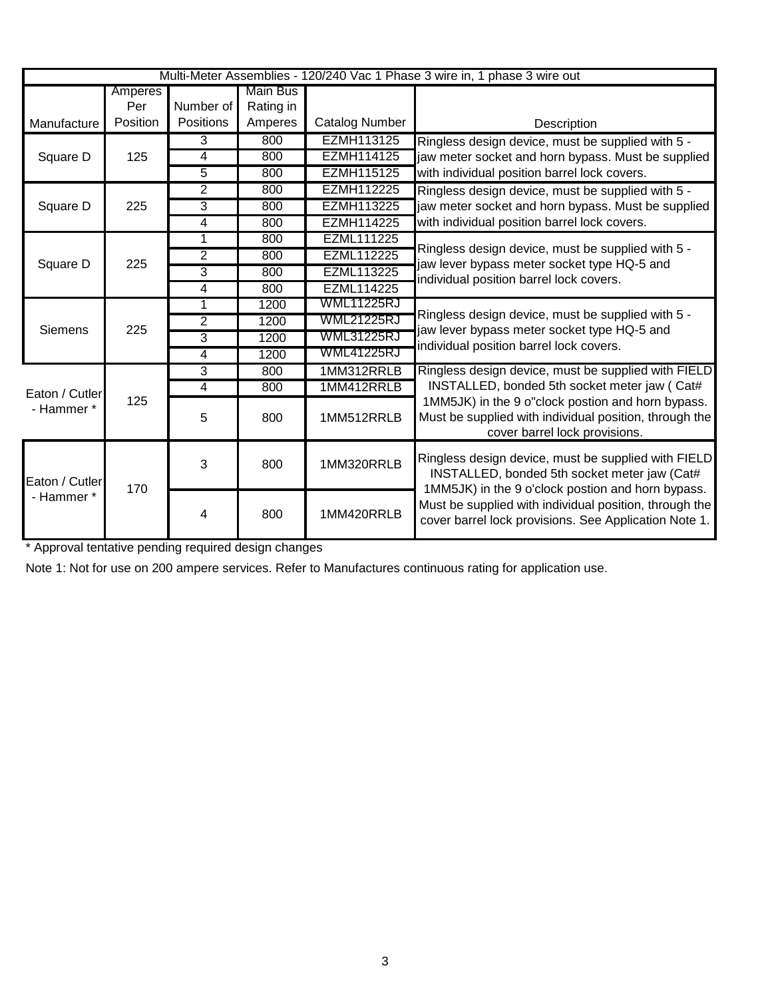| Multi-Meter Assemblies - 120/240 Vac 1 Phase 3 wire in, 1 phase 3 wire out |          |                  |                 |                       |                                                                                                                                                          |
|----------------------------------------------------------------------------|----------|------------------|-----------------|-----------------------|----------------------------------------------------------------------------------------------------------------------------------------------------------|
|                                                                            | Amperes  |                  | <b>Main Bus</b> |                       |                                                                                                                                                          |
|                                                                            | Per      | Number of        | Rating in       |                       |                                                                                                                                                          |
| Manufacture                                                                | Position | <b>Positions</b> | Amperes         | <b>Catalog Number</b> | Description                                                                                                                                              |
|                                                                            |          | 3                | 800             | EZMH113125            | Ringless design device, must be supplied with 5 -                                                                                                        |
| Square D                                                                   | 125      | 4                | 800             | <b>EZMH114125</b>     | jaw meter socket and horn bypass. Must be supplied                                                                                                       |
|                                                                            |          | 5                | 800             | <b>EZMH115125</b>     | with individual position barrel lock covers.                                                                                                             |
|                                                                            |          | $\overline{2}$   | 800             | <b>EZMH112225</b>     | Ringless design device, must be supplied with 5 -                                                                                                        |
| Square D                                                                   | 225      | 3                | 800             | <b>EZMH113225</b>     | jaw meter socket and horn bypass. Must be supplied                                                                                                       |
|                                                                            |          | 4                | 800             | <b>EZMH114225</b>     | with individual position barrel lock covers.                                                                                                             |
|                                                                            |          | 1                | 800             | <b>EZML111225</b>     |                                                                                                                                                          |
| Square D                                                                   | 225      | 2                | 800             | <b>EZML112225</b>     | Ringless design device, must be supplied with 5 -<br>jaw lever bypass meter socket type HQ-5 and                                                         |
|                                                                            |          | $\overline{3}$   | 800             | EZML113225            | individual position barrel lock covers.                                                                                                                  |
|                                                                            |          | 4                | 800             | <b>EZML114225</b>     |                                                                                                                                                          |
|                                                                            |          | 1                | 1200            | <b>WML11225RJ</b>     |                                                                                                                                                          |
| <b>Siemens</b>                                                             | 225      | $\overline{2}$   | 1200            | WML21225RJ            | Ringless design device, must be supplied with 5 -<br>jaw lever bypass meter socket type HQ-5 and                                                         |
|                                                                            |          | 3                | 1200            | <b>WML31225RJ</b>     | individual position barrel lock covers.                                                                                                                  |
|                                                                            |          | 4                | 1200            | <b>WML41225RJ</b>     |                                                                                                                                                          |
|                                                                            |          | 3                | 800             | 1MM312RRLB            | Ringless design device, must be supplied with FIELD                                                                                                      |
| Eaton / Cutler                                                             |          | 4                | 800             | 1MM412RRLB            | INSTALLED, bonded 5th socket meter jaw ( Cat#                                                                                                            |
| - Hammer *                                                                 | 125      | 5                | 800             | 1MM512RRLB            | 1MM5JK) in the 9 o"clock postion and horn bypass.<br>Must be supplied with individual position, through the<br>cover barrel lock provisions.             |
| Eaton / Cutler<br>- Hammer *                                               | 170      | 3                | 800             | 1MM320RRLB            | Ringless design device, must be supplied with FIELD<br>INSTALLED, bonded 5th socket meter jaw (Cat#<br>1MM5JK) in the 9 o'clock postion and horn bypass. |
|                                                                            |          | 4                | 800             | 1MM420RRLB            | Must be supplied with individual position, through the<br>cover barrel lock provisions. See Application Note 1.                                          |

\* Approval tentative pending required design changes

Note 1: Not for use on 200 ampere services. Refer to Manufactures continuous rating for application use.